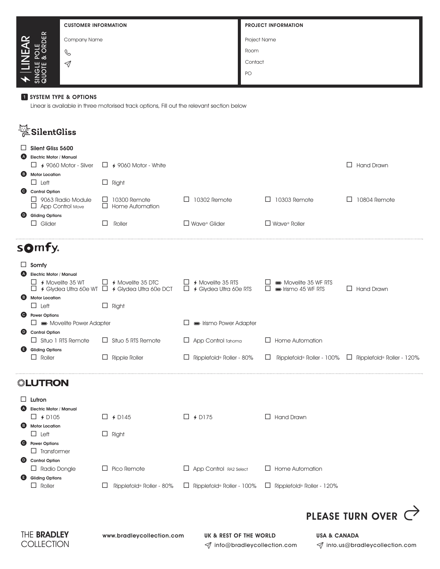|                           | <b>CUSTOMER INFORMATION</b> | <b>PROJECT INFORMATION</b> |  |  |
|---------------------------|-----------------------------|----------------------------|--|--|
| $\simeq$<br>ш<br>$\alpha$ | Company Name                | <b>Project Name</b>        |  |  |
| POLE<br>& ORDI<br>召       | $\mathscr{C}$               | Room                       |  |  |
| <b>SHE</b><br>z ⊃<br>ಹ ಡ  | $\triangleleft$             | Contact                    |  |  |
|                           |                             | PO                         |  |  |

## **1** SYSTEM TYPE & OPTIONS

Linear is available in three motorised track options, Fill out the relevant section below

| SilentGliss                                         |                                                                                        |                                                                 |                                                                   |                          |
|-----------------------------------------------------|----------------------------------------------------------------------------------------|-----------------------------------------------------------------|-------------------------------------------------------------------|--------------------------|
| Silent Gliss 5600                                   |                                                                                        |                                                                 |                                                                   |                          |
| <b>Electric Motor / Manual</b><br>(A)               |                                                                                        |                                                                 |                                                                   |                          |
| $\Box$ 4 9060 Motor - Silver                        | $\Box$ 4 9060 Motor - White                                                            |                                                                 |                                                                   | <b>Hand Drawn</b><br>LI. |
| <b>Motor Location</b><br><b>B</b>                   |                                                                                        |                                                                 |                                                                   |                          |
| $\Box$ Left                                         | $\Box$ Right                                                                           |                                                                 |                                                                   |                          |
| Control Option                                      |                                                                                        |                                                                 |                                                                   |                          |
| $\Box$ 9063 Radio Module<br>$\Box$ App Control Move | $\Box$ 10300 Remote<br>$\Box$ Home Automation                                          | 10302 Remote<br>$\Box$                                          | 10303 Remote                                                      | 10804 Remote             |
| <b>Gliding Options</b><br>$\bullet$                 |                                                                                        |                                                                 |                                                                   |                          |
| $\Box$ Glider                                       | $\Box$<br>Roller                                                                       | $\Box$ Wave <sup>®</sup> Glider                                 | $\Box$ Wave <sup>®</sup> Roller                                   |                          |
| somfy.<br>Somfy                                     |                                                                                        |                                                                 |                                                                   |                          |
| <b>Electric Motor / Manual</b><br>(A)               |                                                                                        |                                                                 |                                                                   |                          |
| $\Box$ 4 Movelite 35 WT                             | $\Box$ 4 Movelite 35 DTC<br>$\Box$ 4 Glydea Ultra 60e WT $\Box$ 4 Glydea Ultra 60e DCT | $\square$ 4 Movelite 35 RTS<br>$\square$ 4 Glydea Ultra 60e RTS | Movelite 35 WF RTS<br>$\Box$<br>lismo 45 WF RTS                   | $\Box$ Hand Drawn        |
| <b>Motor Location</b><br><b>B</b>                   |                                                                                        |                                                                 |                                                                   |                          |
| $\Box$ Left                                         | $\Box$ Right                                                                           |                                                                 |                                                                   |                          |
| <b>O</b> Power Options                              |                                                                                        |                                                                 |                                                                   |                          |
| $\Box \equiv$ Movelite Power Adapter                |                                                                                        | lismo Power Adapter                                             |                                                                   |                          |
| <b>D</b> Control Option                             |                                                                                        |                                                                 |                                                                   |                          |
| $\Box$ Situo 1 RTS Remote                           | $\Box$ Situo 5 RTS Remote                                                              | App Control Tahoma<br>ப                                         | $\Box$ Home Automation                                            |                          |
| <b>Gliding Options</b><br>Θ                         |                                                                                        |                                                                 |                                                                   |                          |
| $\Box$ Roller                                       | $\Box$ Ripple Roller                                                                   | $\Box$ Ripplefold® Roller - 80%                                 | $\Box$ Ripplefold® Roller - 100% $\Box$ Ripplefold® Roller - 120% |                          |
| -™≥∎<br>ITDAN                                       |                                                                                        |                                                                 |                                                                   |                          |

|           | $\Box$ Lutron           |                               |                                  |                                  |
|-----------|-------------------------|-------------------------------|----------------------------------|----------------------------------|
|           | Electric Motor / Manual |                               |                                  |                                  |
|           | $\Box$ + D105           | $\Box$ 4 D145                 | $\Box$ 4 D175                    | $\Box$ Hand Drawn                |
|           | <b>B</b> Motor Location |                               |                                  |                                  |
|           | $\Box$ Left             | $\Box$ Right                  |                                  |                                  |
| $\bullet$ | <b>Power Options</b>    |                               |                                  |                                  |
|           | $\Box$ Transformer      |                               |                                  |                                  |
| $\bullet$ | <b>Control Option</b>   |                               |                                  |                                  |
|           | $\Box$ Radio Dongle     | $\Box$ Pico Remote            | $\Box$ App Control RA2 Select    | $\Box$ Home Automation           |
| Θ.        | <b>Gliding Options</b>  |                               |                                  |                                  |
|           | $\Box$ Roller           | Ripplefold® Roller - 80%<br>⊔ | $\Box$ Ripplefold® Roller - 100% | $\Box$ Ripplefold® Roller - 120% |
|           |                         |                               |                                  |                                  |
|           |                         |                               |                                  |                                  |





 $\mathcal I$  info@bradleycollection.com  $\mathcal I$  info.us@bradleycollection.com